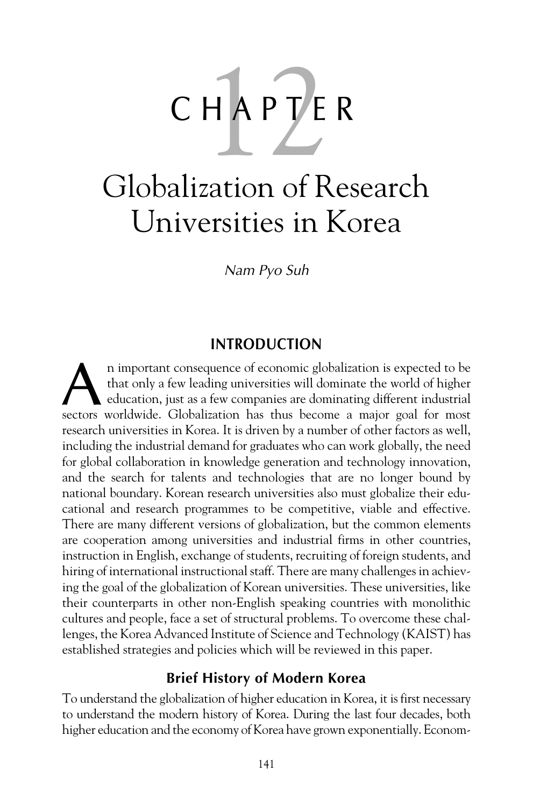# CHAPTER

# Globalization of Research Universities in Korea

*Nam Pyo Suh*

# **INTRODUCTION**

n important consequence of economic globalization is expected to be that only a few leading universities will dominate the world of higher education, just as a few companies are dominating different industrial n important consequence of economic globalization is expected to be that only a few leading universities will dominate the world of higher education, just as a few companies are dominating different industrial sectors worl research universities in Korea. It is driven by a number of other factors as well, including the industrial demand for graduates who can work globally, the need for global collaboration in knowledge generation and technology innovation, and the search for talents and technologies that are no longer bound by national boundary. Korean research universities also must globalize their educational and research programmes to be competitive, viable and effective. There are many different versions of globalization, but the common elements are cooperation among universities and industrial firms in other countries, instruction in English, exchange of students, recruiting of foreign students, and hiring of international instructional staff. There are many challenges in achieving the goal of the globalization of Korean universities. These universities, like their counterparts in other non-English speaking countries with monolithic cultures and people, face a set of structural problems. To overcome these challenges, the Korea Advanced Institute of Science and Technology (KAIST) has established strategies and policies which will be reviewed in this paper.

# **Brief History of Modern Korea**

To understand the globalization of higher education in Korea, it is first necessary to understand the modern history of Korea. During the last four decades, both higher education and the economy of Korea have grown exponentially. Econom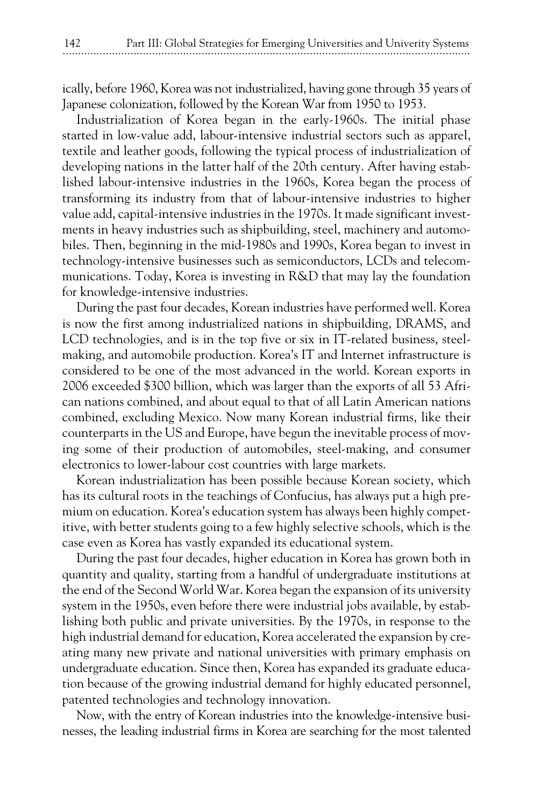ically, before 1960, Korea was not industrialized, having gone through 35 years of Japanese colonization, followed by the Korean War from 1950 to 1953.

Industrialization of Korea began in the early-1960s. The initial phase started in low-value add, labour-intensive industrial sectors such as apparel, textile and leather goods, following the typical process of industrialization of developing nations in the latter half of the 20th century. After having established labour-intensive industries in the 1960s, Korea began the process of transforming its industry from that of labour-intensive industries to higher value add, capital-intensive industries in the 1970s. It made significant investments in heavy industries such as shipbuilding, steel, machinery and automobiles. Then, beginning in the mid-1980s and 1990s, Korea began to invest in technology-intensive businesses such as semiconductors, LCDs and telecommunications. Today, Korea is investing in R&D that may lay the foundation for knowledge-intensive industries.

During the past four decades, Korean industries have performed well. Korea is now the first among industrialized nations in shipbuilding, DRAMS, and LCD technologies, and is in the top five or six in IT-related business, steelmaking, and automobile production. Korea's IT and Internet infrastructure is considered to be one of the most advanced in the world. Korean exports in 2006 exceeded \$300 billion, which was larger than the exports of all 53 African nations combined, and about equal to that of all Latin American nations combined, excluding Mexico. Now many Korean industrial firms, like their counterparts in the US and Europe, have begun the inevitable process of moving some of their production of automobiles, steel-making, and consumer electronics to lower-labour cost countries with large markets.

Korean industrialization has been possible because Korean society, which has its cultural roots in the teachings of Confucius, has always put a high premium on education. Korea's education system has always been highly competitive, with better students going to a few highly selective schools, which is the case even as Korea has vastly expanded its educational system.

During the past four decades, higher education in Korea has grown both in quantity and quality, starting from a handful of undergraduate institutions at the end of the Second World War. Korea began the expansion of its university system in the 1950s, even before there were industrial jobs available, by establishing both public and private universities. By the 1970s, in response to the high industrial demand for education, Korea accelerated the expansion by creating many new private and national universities with primary emphasis on undergraduate education. Since then, Korea has expanded its graduate education because of the growing industrial demand for highly educated personnel, patented technologies and technology innovation.

Now, with the entry of Korean industries into the knowledge-intensive businesses, the leading industrial firms in Korea are searching for the most talented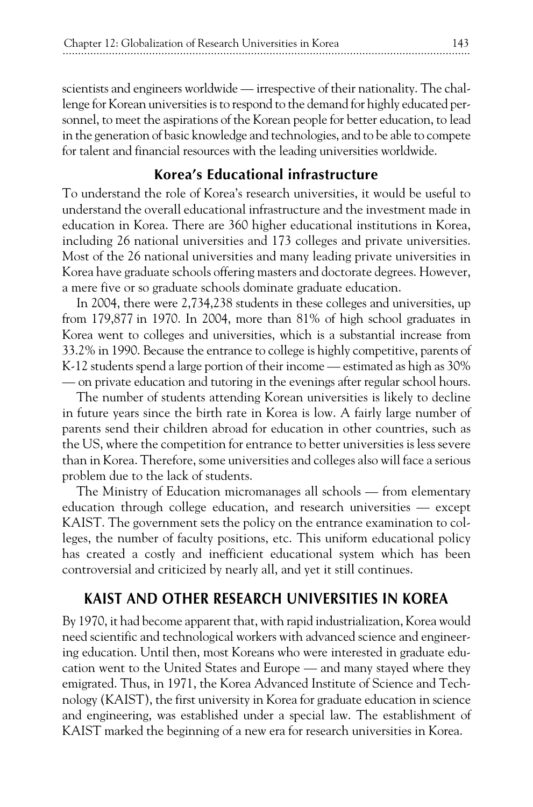scientists and engineers worldwide — irrespective of their nationality. The challenge for Korean universities is to respond to the demand for highly educated personnel, to meet the aspirations of the Korean people for better education, to lead in the generation of basic knowledge and technologies, and to be able to compete for talent and financial resources with the leading universities worldwide.

# **Korea's Educational infrastructure**

To understand the role of Korea's research universities, it would be useful to understand the overall educational infrastructure and the investment made in education in Korea. There are 360 higher educational institutions in Korea, including 26 national universities and 173 colleges and private universities. Most of the 26 national universities and many leading private universities in Korea have graduate schools offering masters and doctorate degrees. However, a mere five or so graduate schools dominate graduate education.

In 2004, there were 2,734,238 students in these colleges and universities, up from 179,877 in 1970. In 2004, more than 81% of high school graduates in Korea went to colleges and universities, which is a substantial increase from 33.2% in 1990. Because the entrance to college is highly competitive, parents of K-12 students spend a large portion of their income — estimated as high as 30% — on private education and tutoring in the evenings after regular school hours.

The number of students attending Korean universities is likely to decline in future years since the birth rate in Korea is low. A fairly large number of parents send their children abroad for education in other countries, such as the US, where the competition for entrance to better universities is less severe than in Korea. Therefore, some universities and colleges also will face a serious problem due to the lack of students.

The Ministry of Education micromanages all schools — from elementary education through college education, and research universities — except KAIST. The government sets the policy on the entrance examination to colleges, the number of faculty positions, etc. This uniform educational policy has created a costly and inefficient educational system which has been controversial and criticized by nearly all, and yet it still continues.

# **KAIST AND OTHER RESEARCH UNIVERSITIES IN KOREA**

By 1970, it had become apparent that, with rapid industrialization, Korea would need scientific and technological workers with advanced science and engineering education. Until then, most Koreans who were interested in graduate education went to the United States and Europe — and many stayed where they emigrated. Thus, in 1971, the Korea Advanced Institute of Science and Technology (KAIST), the first university in Korea for graduate education in science and engineering, was established under a special law. The establishment of KAIST marked the beginning of a new era for research universities in Korea.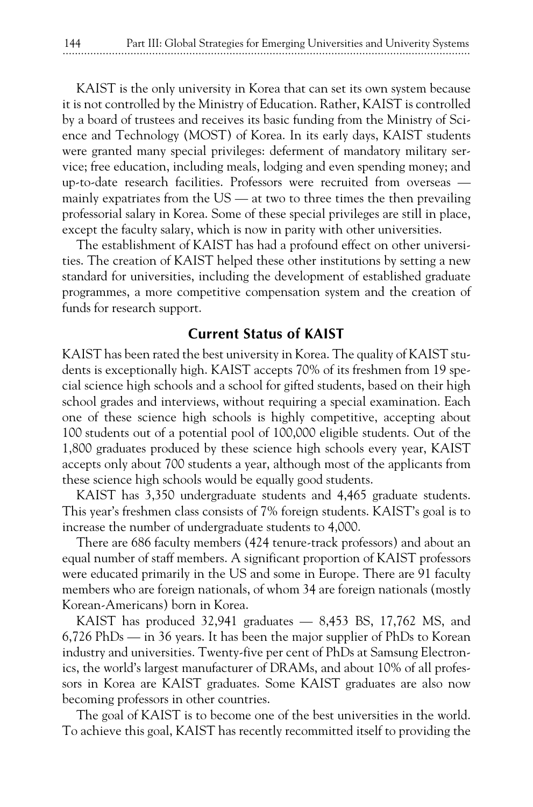KAIST is the only university in Korea that can set its own system because it is not controlled by the Ministry of Education. Rather, KAIST is controlled by a board of trustees and receives its basic funding from the Ministry of Science and Technology (MOST) of Korea. In its early days, KAIST students were granted many special privileges: deferment of mandatory military service; free education, including meals, lodging and even spending money; and up-to-date research facilities. Professors were recruited from overseas mainly expatriates from the  $US - at$  two to three times the then prevailing professorial salary in Korea. Some of these special privileges are still in place, except the faculty salary, which is now in parity with other universities.

The establishment of KAIST has had a profound effect on other universities. The creation of KAIST helped these other institutions by setting a new standard for universities, including the development of established graduate programmes, a more competitive compensation system and the creation of funds for research support.

#### **Current Status of KAIST**

KAIST has been rated the best university in Korea. The quality of KAIST students is exceptionally high. KAIST accepts 70% of its freshmen from 19 special science high schools and a school for gifted students, based on their high school grades and interviews, without requiring a special examination. Each one of these science high schools is highly competitive, accepting about 100 students out of a potential pool of 100,000 eligible students. Out of the 1,800 graduates produced by these science high schools every year, KAIST accepts only about 700 students a year, although most of the applicants from these science high schools would be equally good students.

KAIST has 3,350 undergraduate students and 4,465 graduate students. This year's freshmen class consists of 7% foreign students. KAIST's goal is to increase the number of undergraduate students to 4,000.

There are 686 faculty members (424 tenure-track professors) and about an equal number of staff members. A significant proportion of KAIST professors were educated primarily in the US and some in Europe. There are 91 faculty members who are foreign nationals, of whom 34 are foreign nationals (mostly Korean-Americans) born in Korea.

KAIST has produced 32,941 graduates — 8,453 BS, 17,762 MS, and 6,726 PhDs — in 36 years. It has been the major supplier of PhDs to Korean industry and universities. Twenty-five per cent of PhDs at Samsung Electronics, the world's largest manufacturer of DRAMs, and about 10% of all professors in Korea are KAIST graduates. Some KAIST graduates are also now becoming professors in other countries.

The goal of KAIST is to become one of the best universities in the world. To achieve this goal, KAIST has recently recommitted itself to providing the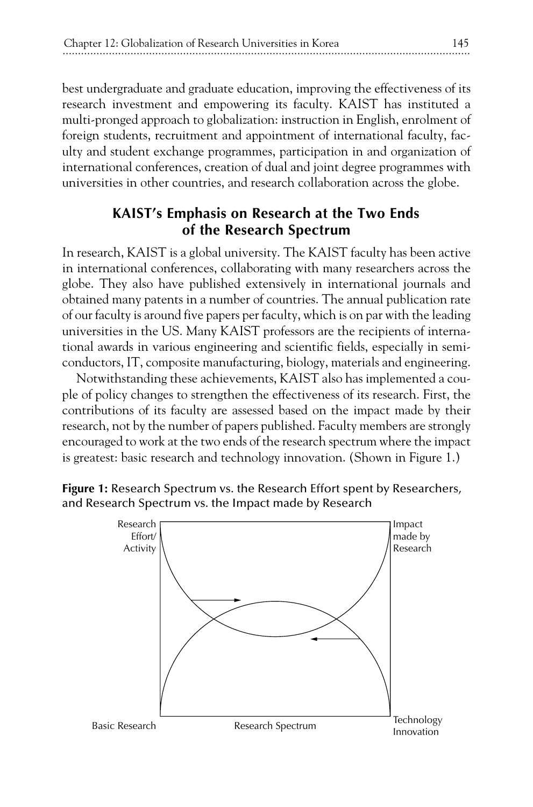best undergraduate and graduate education, improving the effectiveness of its research investment and empowering its faculty. KAIST has instituted a multi-pronged approach to globalization: instruction in English, enrolment of foreign students, recruitment and appointment of international faculty, faculty and student exchange programmes, participation in and organization of international conferences, creation of dual and joint degree programmes with universities in other countries, and research collaboration across the globe.

# **KAIST's Emphasis on Research at the Two Ends of the Research Spectrum**

In research, KAIST is a global university. The KAIST faculty has been active in international conferences, collaborating with many researchers across the globe. They also have published extensively in international journals and obtained many patents in a number of countries. The annual publication rate of our faculty is around five papers per faculty, which is on par with the leading universities in the US. Many KAIST professors are the recipients of international awards in various engineering and scientific fields, especially in semiconductors, IT, composite manufacturing, biology, materials and engineering.

Notwithstanding these achievements, KAIST also has implemented a couple of policy changes to strengthen the effectiveness of its research. First, the contributions of its faculty are assessed based on the impact made by their research, not by the number of papers published. Faculty members are strongly encouraged to work at the two ends of the research spectrum where the impact is greatest: basic research and technology innovation. (Shown in Figure 1.)

**Figure 1:** Research Spectrum vs. the Research Effort spent by Researchers, and Research Spectrum vs. the Impact made by Research

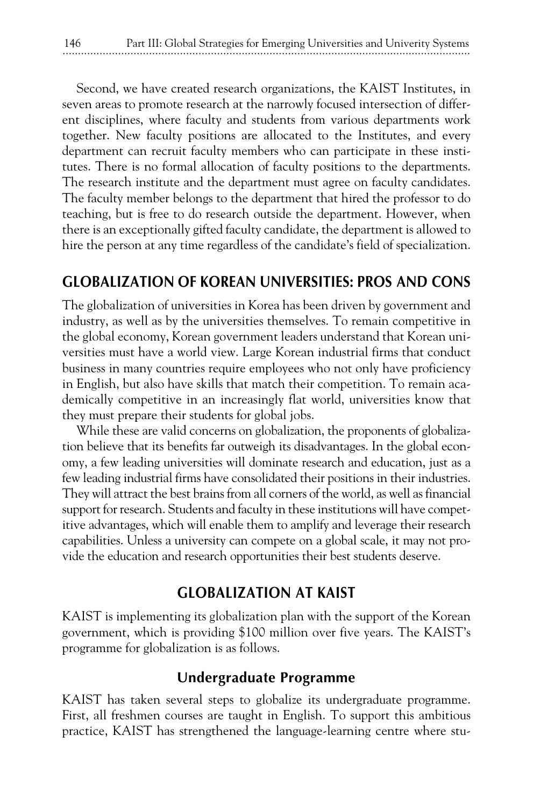Second, we have created research organizations, the KAIST Institutes, in seven areas to promote research at the narrowly focused intersection of different disciplines, where faculty and students from various departments work together. New faculty positions are allocated to the Institutes, and every department can recruit faculty members who can participate in these institutes. There is no formal allocation of faculty positions to the departments. The research institute and the department must agree on faculty candidates. The faculty member belongs to the department that hired the professor to do teaching, but is free to do research outside the department. However, when there is an exceptionally gifted faculty candidate, the department is allowed to hire the person at any time regardless of the candidate's field of specialization.

# **GLOBALIZATION OF KOREAN UNIVERSITIES: PROS AND CONS**

The globalization of universities in Korea has been driven by government and industry, as well as by the universities themselves. To remain competitive in the global economy, Korean government leaders understand that Korean universities must have a world view. Large Korean industrial firms that conduct business in many countries require employees who not only have proficiency in English, but also have skills that match their competition. To remain academically competitive in an increasingly flat world, universities know that they must prepare their students for global jobs.

While these are valid concerns on globalization, the proponents of globalization believe that its benefits far outweigh its disadvantages. In the global economy, a few leading universities will dominate research and education, just as a few leading industrial firms have consolidated their positions in their industries. They will attract the best brains from all corners of the world, as well as financial support for research. Students and faculty in these institutions will have competitive advantages, which will enable them to amplify and leverage their research capabilities. Unless a university can compete on a global scale, it may not provide the education and research opportunities their best students deserve.

# **GLOBALIZATION AT KAIST**

KAIST is implementing its globalization plan with the support of the Korean government, which is providing \$100 million over five years. The KAIST's programme for globalization is as follows.

### **Undergraduate Programme**

KAIST has taken several steps to globalize its undergraduate programme. First, all freshmen courses are taught in English. To support this ambitious practice, KAIST has strengthened the language-learning centre where stu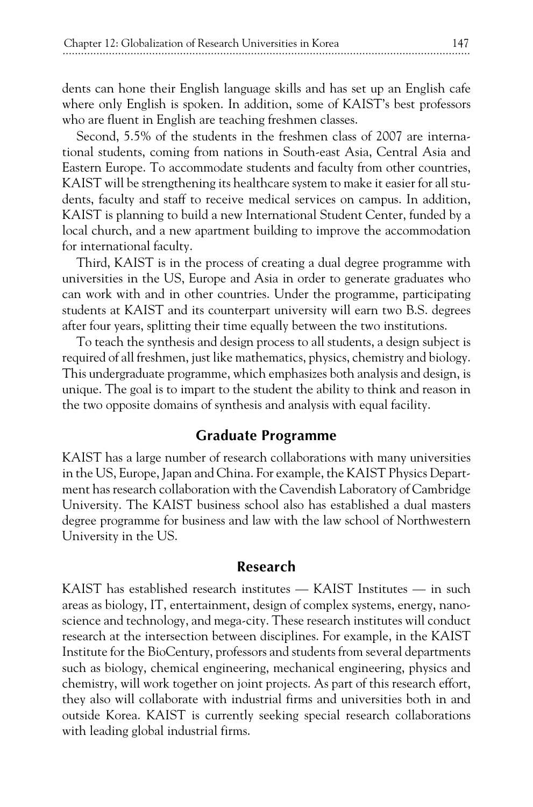dents can hone their English language skills and has set up an English cafe where only English is spoken. In addition, some of KAIST's best professors who are fluent in English are teaching freshmen classes.

Second, 5.5% of the students in the freshmen class of 2007 are international students, coming from nations in South-east Asia, Central Asia and Eastern Europe. To accommodate students and faculty from other countries, KAIST will be strengthening its healthcare system to make it easier for all students, faculty and staff to receive medical services on campus. In addition, KAIST is planning to build a new International Student Center, funded by a local church, and a new apartment building to improve the accommodation for international faculty.

Third, KAIST is in the process of creating a dual degree programme with universities in the US, Europe and Asia in order to generate graduates who can work with and in other countries. Under the programme, participating students at KAIST and its counterpart university will earn two B.S. degrees after four years, splitting their time equally between the two institutions.

To teach the synthesis and design process to all students, a design subject is required of all freshmen, just like mathematics, physics, chemistry and biology. This undergraduate programme, which emphasizes both analysis and design, is unique. The goal is to impart to the student the ability to think and reason in the two opposite domains of synthesis and analysis with equal facility.

#### **Graduate Programme**

KAIST has a large number of research collaborations with many universities in the US, Europe, Japan and China. For example, the KAIST Physics Department has research collaboration with the Cavendish Laboratory of Cambridge University. The KAIST business school also has established a dual masters degree programme for business and law with the law school of Northwestern University in the US.

#### **Research**

KAIST has established research institutes — KAIST Institutes — in such areas as biology, IT, entertainment, design of complex systems, energy, nanoscience and technology, and mega-city. These research institutes will conduct research at the intersection between disciplines. For example, in the KAIST Institute for the BioCentury, professors and students from several departments such as biology, chemical engineering, mechanical engineering, physics and chemistry, will work together on joint projects. As part of this research effort, they also will collaborate with industrial firms and universities both in and outside Korea. KAIST is currently seeking special research collaborations with leading global industrial firms.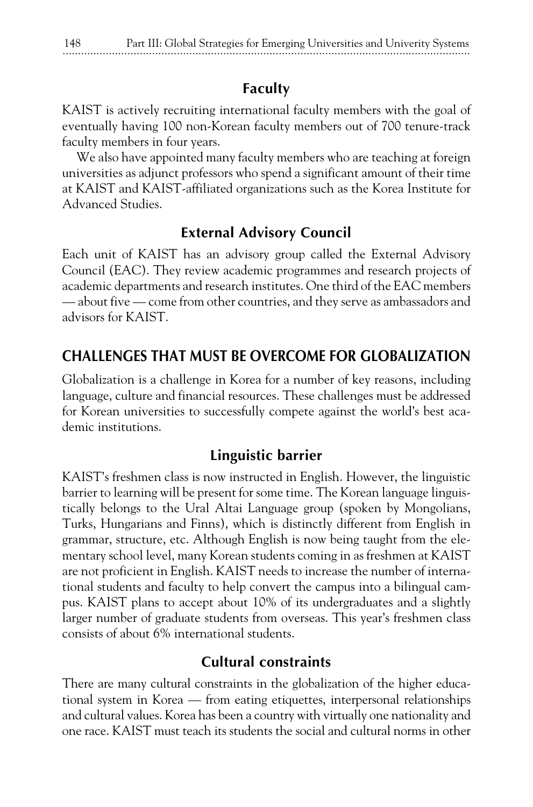# **Faculty**

KAIST is actively recruiting international faculty members with the goal of eventually having 100 non-Korean faculty members out of 700 tenure-track faculty members in four years.

We also have appointed many faculty members who are teaching at foreign universities as adjunct professors who spend a significant amount of their time at KAIST and KAIST-affiliated organizations such as the Korea Institute for Advanced Studies.

# **External Advisory Council**

Each unit of KAIST has an advisory group called the External Advisory Council (EAC). They review academic programmes and research projects of academic departments and research institutes. One third of the EAC members — about five — come from other countries, and they serve as ambassadors and advisors for KAIST.

# **CHALLENGES THAT MUST BE OVERCOME FOR GLOBALIZATION**

Globalization is a challenge in Korea for a number of key reasons, including language, culture and financial resources. These challenges must be addressed for Korean universities to successfully compete against the world's best academic institutions.

# **Linguistic barrier**

KAIST's freshmen class is now instructed in English. However, the linguistic barrier to learning will be present for some time. The Korean language linguistically belongs to the Ural Altai Language group (spoken by Mongolians, Turks, Hungarians and Finns), which is distinctly different from English in grammar, structure, etc. Although English is now being taught from the elementary school level, many Korean students coming in as freshmen at KAIST are not proficient in English. KAIST needs to increase the number of international students and faculty to help convert the campus into a bilingual campus. KAIST plans to accept about 10% of its undergraduates and a slightly larger number of graduate students from overseas. This year's freshmen class consists of about 6% international students.

# **Cultural constraints**

There are many cultural constraints in the globalization of the higher educational system in Korea — from eating etiquettes, interpersonal relationships and cultural values. Korea has been a country with virtually one nationality and one race. KAIST must teach its students the social and cultural norms in other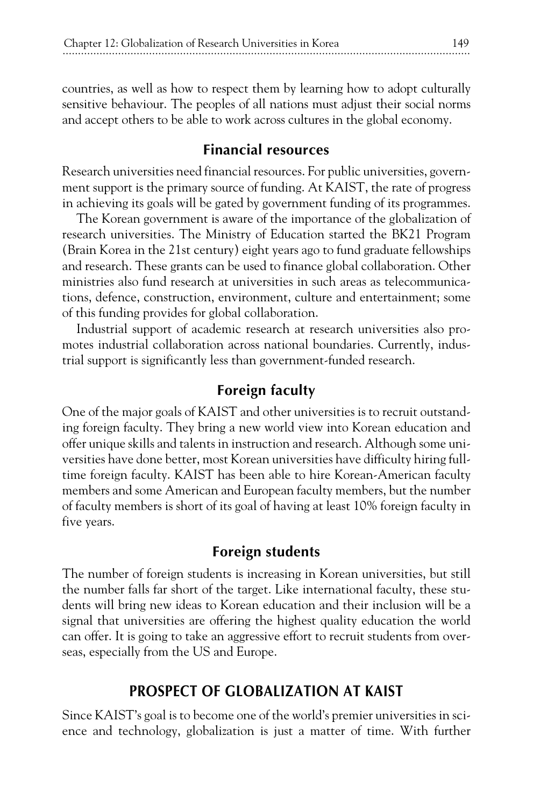countries, as well as how to respect them by learning how to adopt culturally sensitive behaviour. The peoples of all nations must adjust their social norms and accept others to be able to work across cultures in the global economy.

# **Financial resources**

Research universities need financial resources. For public universities, government support is the primary source of funding. At KAIST, the rate of progress in achieving its goals will be gated by government funding of its programmes.

The Korean government is aware of the importance of the globalization of research universities. The Ministry of Education started the BK21 Program (Brain Korea in the 21st century) eight years ago to fund graduate fellowships and research. These grants can be used to finance global collaboration. Other ministries also fund research at universities in such areas as telecommunications, defence, construction, environment, culture and entertainment; some of this funding provides for global collaboration.

Industrial support of academic research at research universities also promotes industrial collaboration across national boundaries. Currently, industrial support is significantly less than government-funded research.

# **Foreign faculty**

One of the major goals of KAIST and other universities is to recruit outstanding foreign faculty. They bring a new world view into Korean education and offer unique skills and talents in instruction and research. Although some universities have done better, most Korean universities have difficulty hiring fulltime foreign faculty. KAIST has been able to hire Korean-American faculty members and some American and European faculty members, but the number of faculty members is short of its goal of having at least 10% foreign faculty in five years.

# **Foreign students**

The number of foreign students is increasing in Korean universities, but still the number falls far short of the target. Like international faculty, these students will bring new ideas to Korean education and their inclusion will be a signal that universities are offering the highest quality education the world can offer. It is going to take an aggressive effort to recruit students from overseas, especially from the US and Europe.

# **PROSPECT OF GLOBALIZATION AT KAIST**

Since KAIST's goal is to become one of the world's premier universities in science and technology, globalization is just a matter of time. With further